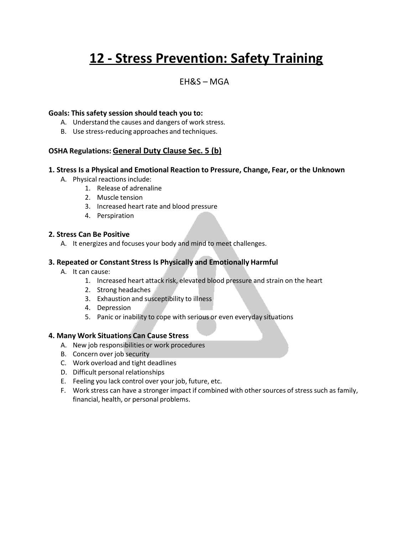# **12 - Stress Prevention: Safety Training**

### EH&S – MGA

#### **Goals: This safety session should teach you to:**

- A. Understand the causes and dangers of work stress.
- B. Use stress-reducing approaches and techniques.

#### **OSHA Regulations: General Duty Clause Sec. 5 (b)**

#### **1. Stress Is a Physical and Emotional Reaction to Pressure, Change, Fear, or the Unknown**

- A. Physical reactions include:
	- 1. Release of adrenaline
	- 2. Muscle tension
	- 3. Increased heart rate and blood pressure
	- 4. Perspiration

#### **2. Stress Can Be Positive**

A. It energizes and focuses your body and mind to meet challenges.

#### **3. Repeated or Constant Stress Is Physically and Emotionally Harmful**

- A. It can cause:
	- 1. Increased heart attack risk, elevated blood pressure and strain on the heart
	- 2. Strong headaches
	- 3. Exhaustion and susceptibility to illness
	- 4. Depression
	- 5. Panic or inability to cope with serious or even everyday situations

#### **4. Many Work Situations Can Cause Stress**

- A. New job responsibilities or work procedures
- B. Concern over job security
- C. Work overload and tight deadlines
- D. Difficult personal relationships
- E. Feeling you lack control over your job, future, etc.
- F. Work stress can have a stronger impact if combined with other sources of stress such as family, financial, health, or personal problems.